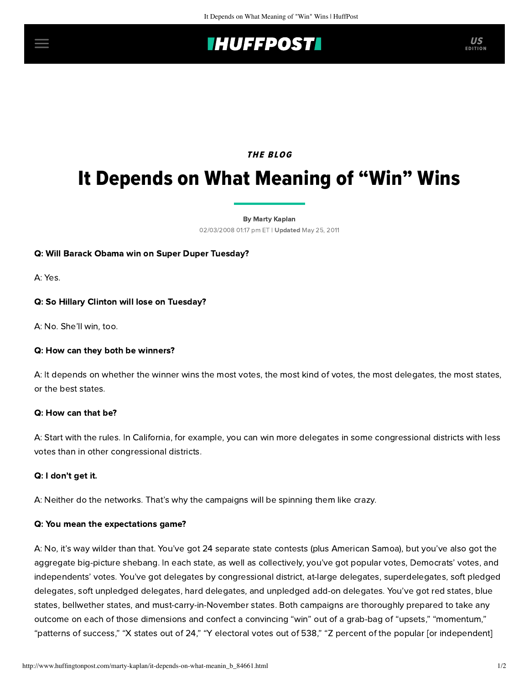# **IHUFFPOSTI** US

# THE BLOG

# It Depends on What Meaning of "Win" Wins

[By Marty Kaplan](http://www.huffingtonpost.com/author/marty-kaplan) 02/03/2008 01:17 pm ET | Updated May 25, 2011

#### Q: Will Barack Obama win on Super Duper Tuesday?

A: Yes.

#### Q: So Hillary Clinton will lose on Tuesday?

A: No. She'll win, too.

#### Q: How can they both be winners?

A: It depends on whether the winner wins the most votes, the most kind of votes, the most delegates, the most states, or the best states.

#### Q: How can that be?

A: Start with the rules. In California, for example, you can win more delegates in some congressional districts with less votes than in other congressional districts.

#### Q: I don't get it.

A: Neither do the networks. That's why the campaigns will be spinning them like crazy.

#### Q: You mean the expectations game?

A: No, it's way wilder than that. You've got 24 separate state contests (plus American Samoa), but you've also got the aggregate big-picture shebang. In each state, as well as collectively, you've got popular votes, Democrats' votes, and independents' votes. You've got delegates by congressional district, at-large delegates, superdelegates, soft pledged delegates, soft unpledged delegates, hard delegates, and unpledged add-on delegates. You've got red states, blue states, bellwether states, and must-carry-in-November states. Both campaigns are thoroughly prepared to take any outcome on each of those dimensions and confect a convincing "win" out of a grab-bag of "upsets," "momentum," "patterns of success," "X states out of 24," "Y electoral votes out of 538," "Z percent of the popular [or independent]